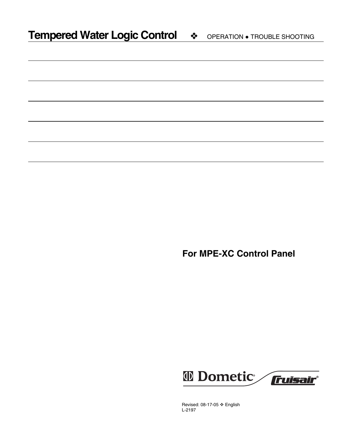**For MPE-XC Control Panel**



Revised: 08-17-05 ❖ English L-2197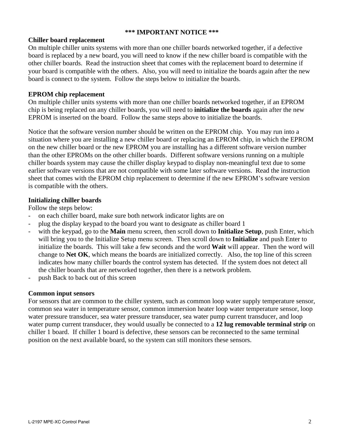## **\*\*\* IMPORTANT NOTICE \*\*\***

## **Chiller board replacement**

On multiple chiller units systems with more than one chiller boards networked together, if a defective board is replaced by a new board, you will need to know if the new chiller board is compatible with the other chiller boards. Read the instruction sheet that comes with the replacement board to determine if your board is compatible with the others. Also, you will need to initialize the boards again after the new board is connect to the system. Follow the steps below to initialize the boards.

## **EPROM chip replacement**

On multiple chiller units systems with more than one chiller boards networked together, if an EPROM chip is being replaced on any chiller boards, you will need to **initialize the boards** again after the new EPROM is inserted on the board. Follow the same steps above to initialize the boards.

Notice that the software version number should be written on the EPROM chip. You may run into a situation where you are installing a new chiller board or replacing an EPROM chip, in which the EPROM on the new chiller board or the new EPROM you are installing has a different software version number than the other EPROMs on the other chiller boards. Different software versions running on a multiple chiller boards system may cause the chiller display keypad to display non-meaningful text due to some earlier software versions that are not compatible with some later software versions. Read the instruction sheet that comes with the EPROM chip replacement to determine if the new EPROM's software version is compatible with the others.

## **Initializing chiller boards**

Follow the steps below:

- on each chiller board, make sure both network indicator lights are on
- plug the display keypad to the board you want to designate as chiller board 1
- with the keypad, go to the **Main** menu screen, then scroll down to **Initialize Setup**, push Enter, which will bring you to the Initialize Setup menu screen. Then scroll down to **Initialize** and push Enter to initialize the boards. This will take a few seconds and the word **Wait** will appear. Then the word will change to **Net OK**, which means the boards are initialized correctly. Also, the top line of this screen indicates how many chiller boards the control system has detected. If the system does not detect all the chiller boards that are networked together, then there is a network problem.
- push Back to back out of this screen

## **Common input sensors**

For sensors that are common to the chiller system, such as common loop water supply temperature sensor, common sea water in temperature sensor, common immersion heater loop water temperature sensor, loop water pressure transducer, sea water pressure transducer, sea water pump current transducer, and loop water pump current transducer, they would usually be connected to a **12 lug removable terminal strip** on chiller 1 board. If chiller 1 board is defective, these sensors can be reconnected to the same terminal position on the next available board, so the system can still monitors these sensors.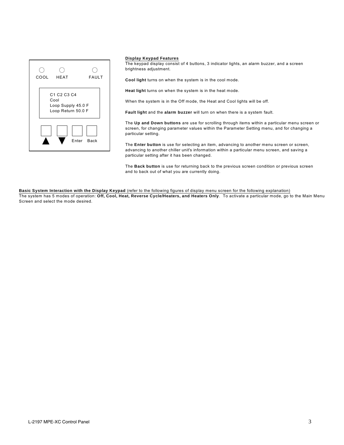

#### **Display Keypad Features**

The keypad display consist of 4 buttons, 3 indicator lights, an alarm buzzer, and a screen brightness adjustment.

**Cool light** turns on when the system is in the cool mode.

**Heat light** turns on when the system is in the heat mode.

When the system is in the Off mode, the Heat and Cool lights will be off.

**Fault light** and the **alarm buzzer** will turn on when there is a system fault.

The **Up and Down buttons** are use for scrolling through items within a particular menu screen or screen, for changing parameter values within the Parameter Setting menu, and for changing a particular setting.

The **Enter button** is use for selecting an item, advancing to another menu screen or screen, advancing to another chiller unit's information within a particular menu screen, and saving a particular setting after it has been changed.

The **Back button** is use for returning back to the previous screen condition or previous screen and to back out of what you are currently doing.

**Basic System Interaction with the Display Keypad** (refer to the following figures of display menu screen for the following explanation)

The system has 5 modes of operation: **Off, Cool, Heat, Reverse Cycle/Heaters, and Heaters Only**. To activate a particular mode, go to the Main Menu Screen and select the mode desired.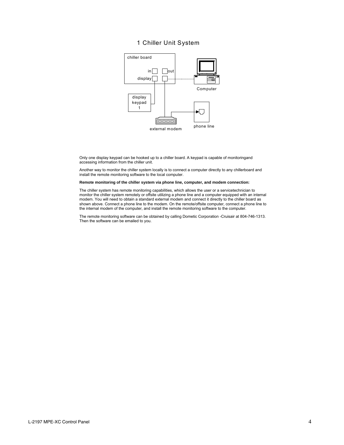#### 1 Chiller Unit System



Only one display keypad can be hooked up to a chiller board. A keypad is capable of monitoringand accessing information from the chiller unit.

Another way to monitor the chiller system locally is to connect a computer directly to any chillerboard and install the remote monitoring software to the local computer.

#### **Remote monitoring of the chiller system via phone line, computer, and modem connection:**

The chiller system has remote monitoring capabilities, which allows the user or a servicetechnician to monitor the chiller system remotely or offsite utilizing a phone line and a computer equipped with an internal modem. You will need to obtain a standard external modem and connect it directly to the chiller board as shown above. Connect a phone line to the modem. On the remote/offsite computer, connect a phone line to the internal modem of the computer, and install the remote monitoring software to the computer.

The remote monitoring software can be obtained by calling Dometic Corporation -Cruisair at 804-746-1313. Then the software can be emailed to you.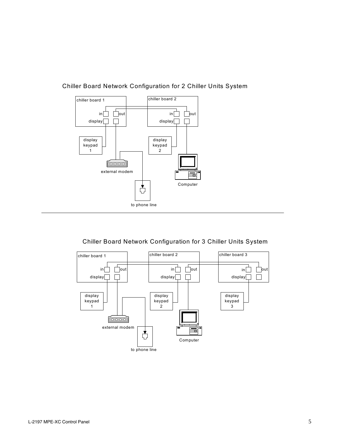

## Chiller Board Network Configuration for 2 Chiller Units System

Chiller Board Network Configuration for 3 Chiller Units System

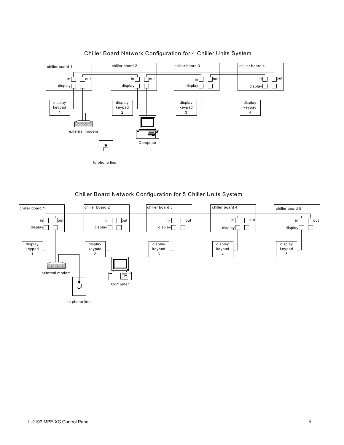

## Chiller Board Network Configuration for 4 Chiller Units System

Chiller Board Network Configuration for 5 Chiller Units System

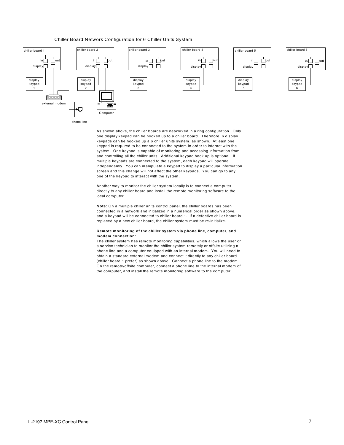#### Chiller Board Network Configuration for 6 Chiller Units System



As shown above, the chiller boards are networked in a ring configuration. Only one display keypad can be hooked up to a chiller board. Therefore, 6 display keypads can be hooked up a 6 chiller units system, as shown. At least one keypad is required to be connected to the system in order to interact with the system. One keypad is capable of monitoring and accessing information from and controlling all the chiller units. Additional keypad hook up is optional. If multiple keypads are connected to the system, each keypad will operate independently. You can manipulate a keypad to display a particular information screen and this change will not affect the other keypads. You can go to any one of the keypad to interact with the system.

Another way to monitor the chiller system locally is to connect a computer directly to any chiller board and install the remote monitoring software to the local computer.

**Note:** On a multiple chiller units control panel, the chiller boards has been connected in a network and initialized in a numerical order as shown above, and a keypad will be connected to chiller board 1. If a defective chiller board is replaced by a new chiller board, the chiller system must be re-initialize.

#### **Remote monitoring of the chiller system via phone line, computer, and modem connection:**

The chiller system has remote monitoring capabilities, which allows the user or a service technician to monitor the chiller system remotely or offsite utilizing a phone line and a computer equipped with an internal modem. You will need to obtain a standard external modem and connect it directly to any chiller board (chiller board 1 prefer) as shown above. Connect a phone line to the modem. On the remote/offsite computer, connect a phone line to the internal modem of the computer, and install the remote monitoring software to the computer.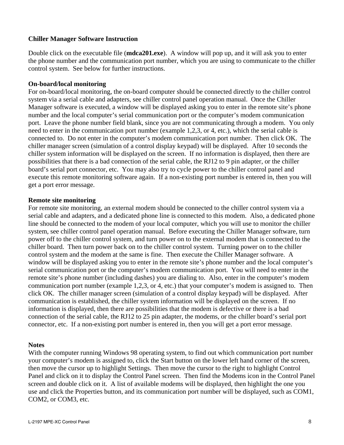## **Chiller Manager Software Instruction**

Double click on the executable file (**mdca201.exe**). A window will pop up, and it will ask you to enter the phone number and the communication port number, which you are using to communicate to the chiller control system. See below for further instructions.

## **On-board/local monitoring**

For on-board/local monitoring, the on-board computer should be connected directly to the chiller control system via a serial cable and adapters, see chiller control panel operation manual. Once the Chiller Manager software is executed, a window will be displayed asking you to enter in the remote site's phone number and the local computer's serial communication port or the computer's modem communication port. Leave the phone number field blank, since you are not communicating through a modem. You only need to enter in the communication port number (example 1,2,3, or 4, etc.), which the serial cable is connected to. Do not enter in the computer's modem communication port number. Then click OK. The chiller manager screen (simulation of a control display keypad) will be displayed. After 10 seconds the chiller system information will be displayed on the screen. If no information is displayed, then there are possibilities that there is a bad connection of the serial cable, the RJ12 to 9 pin adapter, or the chiller board's serial port connector, etc. You may also try to cycle power to the chiller control panel and execute this remote monitoring software again. If a non-existing port number is entered in, then you will get a port error message.

## **Remote site monitoring**

For remote site monitoring, an external modem should be connected to the chiller control system via a serial cable and adapters, and a dedicated phone line is connected to this modem. Also, a dedicated phone line should be connected to the modem of your local computer, which you will use to monitor the chiller system, see chiller control panel operation manual. Before executing the Chiller Manager software, turn power off to the chiller control system, and turn power on to the external modem that is connected to the chiller board. Then turn power back on to the chiller control system. Turning power on to the chiller control system and the modem at the same is fine. Then execute the Chiller Manager software. A window will be displayed asking you to enter in the remote site's phone number and the local computer's serial communication port or the computer's modem communication port. You will need to enter in the remote site's phone number (including dashes) you are dialing to. Also, enter in the computer's modem communication port number (example 1,2,3, or 4, etc.) that your computer's modem is assigned to. Then click OK. The chiller manager screen (simulation of a control display keypad) will be displayed. After communication is established, the chiller system information will be displayed on the screen. If no information is displayed, then there are possibilities that the modem is defective or there is a bad connection of the serial cable, the RJ12 to 25 pin adapter, the modems, or the chiller board's serial port connector, etc. If a non-existing port number is entered in, then you will get a port error message.

## **Notes**

With the computer running Windows 98 operating system, to find out which communication port number your computer's modem is assigned to, click the Start button on the lower left hand corner of the screen, then move the cursor up to highlight Settings. Then move the cursor to the right to highlight Control Panel and click on it to display the Control Panel screen. Then find the Modems icon in the Control Panel screen and double click on it. A list of available modems will be displayed, then highlight the one you use and click the Properties button, and its communication port number will be displayed, such as COM1, COM2, or COM3, etc.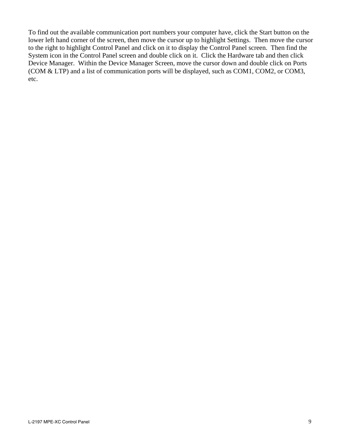To find out the available communication port numbers your computer have, click the Start button on the lower left hand corner of the screen, then move the cursor up to highlight Settings. Then move the cursor to the right to highlight Control Panel and click on it to display the Control Panel screen. Then find the System icon in the Control Panel screen and double click on it. Click the Hardware tab and then click Device Manager. Within the Device Manager Screen, move the cursor down and double click on Ports (COM & LTP) and a list of communication ports will be displayed, such as COM1, COM2, or COM3, etc.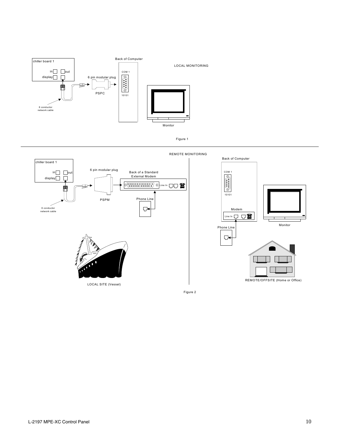



LOCAL SITE (Vessel)

Figure 2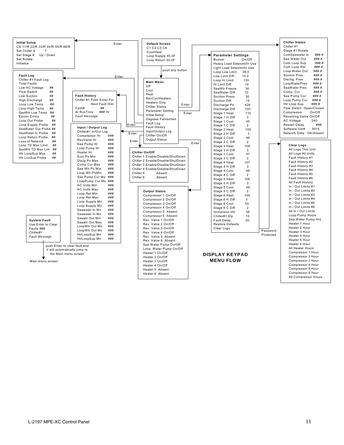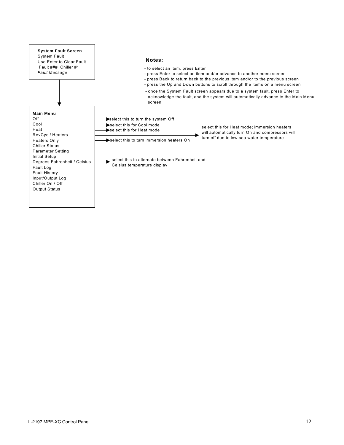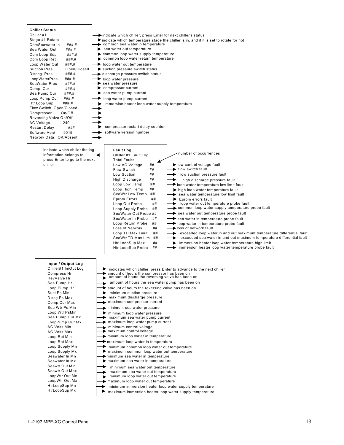| <b>Chiller Status</b><br>Chiller #1<br>Stage #1 Rotate<br>ComSeawater In<br>###.#<br>Sea Water Out<br>###.#<br>###.#<br>Com Loop Sup<br>Com Loop Ret<br>###.#<br>Loop Water Out<br>###.#<br><b>Suction Pres</b><br>Open/Closed<br>###.#<br>Dischg. Pres<br>###.#<br>LoopWaterPres<br>###.#<br>SeaWater Pres<br>Comp. Cur<br>###.#<br>Sea Pump Cur<br>###.#<br>###.#<br>Loop Pump Cur<br>Htr Loop Sup<br>###.#<br>Flow Switch Open/Closed<br>Compressor<br>On/Off<br>Reversing Valve On/Off<br>AC Voltage<br>240<br><b>Restart Delay</b><br>###<br>Software Ver#<br>9015<br>Network Data OK/Absent | $\blacktriangleright$ indicate which chiller, press Enter for next chiller's status<br>indicate which temperature stage the chiller is in, and if it is set to rotate for not<br>common sea water in temperature<br>$\blacktriangleright$ sea water out temperature<br>common loop water supply temperature<br>common loop water return temperature<br>$\blacktriangleright$ loop water out temperature<br>$\blacktriangleright$ suction pressure switch status<br>Sischarge pressure switch status<br>loop water pressure<br>$\blacktriangleright$ sea water pressure<br>compressor current<br>▸<br>$\rightarrow$ sea water pump current<br>loop water pump current<br>⋗<br>immersion heater loop water supply temperature<br>▸<br>compressor restart delay counter<br>software version number<br>Ð                                                                                                                                                                                                                                                                                                                                                                                                                                                                                                                                                                                                                                       |  |  |
|---------------------------------------------------------------------------------------------------------------------------------------------------------------------------------------------------------------------------------------------------------------------------------------------------------------------------------------------------------------------------------------------------------------------------------------------------------------------------------------------------------------------------------------------------------------------------------------------------|--------------------------------------------------------------------------------------------------------------------------------------------------------------------------------------------------------------------------------------------------------------------------------------------------------------------------------------------------------------------------------------------------------------------------------------------------------------------------------------------------------------------------------------------------------------------------------------------------------------------------------------------------------------------------------------------------------------------------------------------------------------------------------------------------------------------------------------------------------------------------------------------------------------------------------------------------------------------------------------------------------------------------------------------------------------------------------------------------------------------------------------------------------------------------------------------------------------------------------------------------------------------------------------------------------------------------------------------------------------------------------------------------------------------------------------------|--|--|
| indicate which chiller the log<br>information belongs to,<br>press Enter to go to the next<br>chiller                                                                                                                                                                                                                                                                                                                                                                                                                                                                                             | <b>Fault Log</b><br>number of occurrences<br>Chiller #1 Fault Log<br><b>Total Faults</b><br>low control voltage fault<br>##<br>Low AC Voltage<br>low switch fault<br><b>Flow Switch</b><br>##<br>low suction pressure fault<br>Low Suction<br>##<br>▸<br>High Discharge<br>##<br>high discharge pressure fault<br>##<br>Loop Low Temp<br>loop water temperature low limit fault<br>Loop High Temp<br>##<br>$\blacktriangleright$ high loop water temperature fault<br>SeaWtr Low Temp<br>##<br>sea water temperature low limit fault<br>▸<br><b>Eprom Errors</b><br>##<br>▶<br>Eprom errors fault<br>loop water out temperature probe fault<br>Loop Out Probe<br>##<br>common loop water supply temperature probe fault<br>##<br>Loop Supply Probe<br>sea water out temperature probe fault<br>SeaWater Out Probe ##<br>SeaWater In Probe<br>##<br>$\rightarrow$ sea water in temperature probe fault<br>Loop Return Probe<br>##<br>$\blacktriangleright$ loop water in temperature probe fault<br>loss of network fault<br>##<br>Loss of Network<br>##<br>Loop TD Max Limit<br>exceeded loop water in and out maximum temperature differential fault<br>▸<br>exceeded sea water in and out maximum temperature differential fault<br>SeaWtr TD Max Lim ##<br>▸<br>Htr LoopSup Max<br>##<br>immersion heater loop water temperature high limit<br>▸<br>##<br>▶<br>immersion heater loop water temperature probe fault<br>Htr LoopSup Probe |  |  |
| Input / Output Log<br>Chiller#1 In/Out Log<br>Compress Hr<br>RevValve Hr<br>Sea Pump Hr<br>Loop Pump Hr<br>Suct Ps Min<br>Discg Ps Max<br>Comp Cur Max<br>Sea Wtr Ps Min<br>Loop Wtr PsMin<br>Sea Pump Cur Mx<br>LoopPump Cur Mx<br><b>AC Volts Min</b><br><b>AC Volts Max</b><br>Loop Ret Min<br>Loop Ret Max<br>Loop Supply Mn<br>Loop Supply Mx<br>Seawater In Mn<br>Seawater In Mx<br>Seawtr Out Min<br>Seawtr Out Max<br>LoopWtr Out Mn<br>LoopWtr Out Mx<br>HtrLoopSup Mn<br>HtrLoopSup Mx                                                                                                  | indicates which chiller; press Enter to advance to the next chiller<br>amount of hours the compressor has been on<br>amount of hours the reversing valve has been on<br>amount of hours the sea water pump has been on<br>$\blacktriangleright$ amount of hours the reversing valve has been on<br>minimum suction pressure<br>▸<br>maximum discharge pressure<br>maximum compressor current<br>minimum sea water pressure<br>▸<br>minimum loop water pressure<br>maximum sea water pump current<br>$\rightarrow$ maximum loop water pump current<br>minimum control voltage<br>maximum control voltage<br>$\blacktriangleright$ minimum loop water in temperature<br>$\blacktriangleright$ maximum loop water in temperature<br>▸.<br>minimum common loop water out temperature<br>maximum common loop water out temperature<br>$\blacktriangleright$ minimum sea water in temperature<br>$\blacktriangleright$ maximum sea water in temperature<br>▸<br>minimum sea water out temperature<br>maximum sea water out temperature<br>minimum loop water out temperature<br>maximum loop water out temperature<br>minimum immersion heater loop water supply temperature<br>▸<br>▶<br>maximum immersion heater loop water supply temperature                                                                                                                                                                                                 |  |  |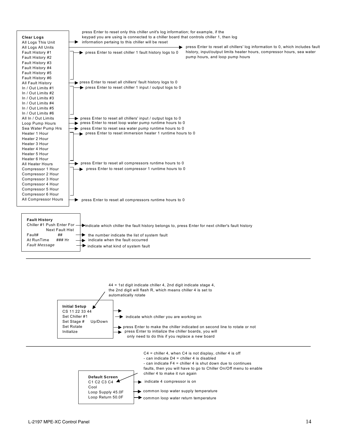



common loop water return temperature

Loop Return 50.0F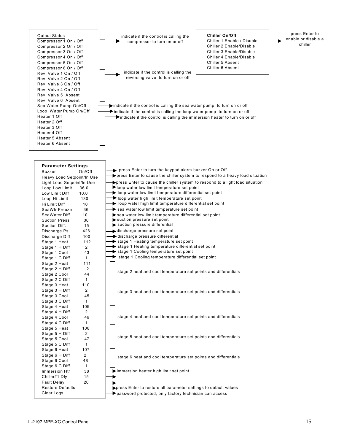#### Output Status Compressor 1 On / Off Compressor 2 On / Off Compressor 3 On / Off Compressor 4 On / Off Compressor 5 On / Off Compressor 6 On / Off Rev. Valve 1 On / Off Rev. Valve 2 On / Off Rev. Valve 3 On / Off Rev. Valve 4 On / Off Rev. Valve 5 Absent Rev. Valve 6 Absent Sea Water Pump On/Off Loop Water Pump On/Off Heater 1 Off Heater 2 Off Heater 3 Off Heater 4 Off Heater 5 Absent Heater 6 Absent

indicate if the control is calling the compressor to turn on or off

indicate if the control is calling the reversing valve to turn on or off

**Chiller On/Off** Chiller 1 Enable / Disable Chiller 2 Enable/Disable Chiller 3 Enable/Disable Chiller 4 Enable/Disable Chiller 5 Absent Chiller 6 Absent

press Enter to enable or disable a chiller

indicate if the control is calling the sea water pump to turn on or off  $\blacktriangleright$  indicate if the control is calling the loop water pump to turn on or off Indicate if the control is calling the immersion heater to turn on or off

| <b>Parameter Settings</b>      |                |  |
|--------------------------------|----------------|--|
| <b>Buzzer</b>                  | On/Off         |  |
| Heavy Load Setpoint/In Use     |                |  |
| Light Load Setpoint/In Use     |                |  |
| Loop Low Limit                 | 36.0           |  |
| Low Limit Diff                 | 10.0           |  |
| Loop Hi Limit                  | 130            |  |
| Hi Limit Diff                  | 10             |  |
| SeaWtr Freeze                  | 36             |  |
| SeaWater Diff.                 | 10             |  |
| <b>Suction Press</b>           | 30             |  |
| Suction Diff.                  | 15             |  |
| Discharge Ps.                  | 426            |  |
| Discharge Diff                 | 100            |  |
| Stage 1 Heat                   | 112            |  |
| Stage 1 H Diff                 | $\overline{2}$ |  |
| Stage 1 Cool                   | 43             |  |
| Stage 1 C Diff                 | 1              |  |
| Stage 2 Heat                   | 111            |  |
| Stage 2 H Diff                 | 2              |  |
| Stage 2 Cool                   | 44             |  |
| Stage 2 C Diff                 | 1              |  |
| Stage 3 Heat                   | 110            |  |
| Stage 3 H Diff                 | 2              |  |
| Stage 3 Cool                   | 45             |  |
| Stage 3 C Diff                 | 1              |  |
| Stage 4 Heat                   | 109            |  |
| Stage 4 H Diff                 | 2              |  |
| Stage 4 Cool                   | 46             |  |
| Stage 4 C Diff                 | 1              |  |
| Stage 5 Heat                   | 108            |  |
| Stage 5 H Diff                 | 2              |  |
| Stage 5 Cool<br>Stage 5 C Diff | 47<br>1        |  |
| Stage 6 Heat                   | 107            |  |
| Stage 6 H Diff                 | 2              |  |
| Stage 6 Cool                   | 48             |  |
| Stage 6 C Diff                 | $\overline{1}$ |  |
| <b>Immersion Htr</b>           | 38             |  |
| Chiller#1 Dly                  | 15             |  |
| <b>Fault Delay</b>             | 20             |  |
| <b>Restore Defaults</b>        |                |  |
| Clear Logs                     |                |  |
|                                |                |  |

| press Enter to turn the keypad alarm buzzer On or Off<br>$\rightarrow$ press Enter to cause the chiller system to respond to a heavy load situation                                                                                                                                                                                                                                                                                                                                                                                          |
|----------------------------------------------------------------------------------------------------------------------------------------------------------------------------------------------------------------------------------------------------------------------------------------------------------------------------------------------------------------------------------------------------------------------------------------------------------------------------------------------------------------------------------------------|
| $\rightarrow$ press Enter to cause the chiller system to respond to a light load situation<br>$\rightarrow$ loop water low limit temperature set point<br>$\rightarrow$ loop water low limit temperature differential set point<br>$\rightarrow$ loop water high limit temperature set point<br>$\rightarrow$ loop water high limit temperature differential set point<br>sea water low limit temperature set point<br>sea water low limit temperature differential set point<br>suction pressure set point<br>suction pressure differential |
| ischarge pressure set point<br>discharge pressure differential<br>stage 1 Heating temperature set point<br>$\rightarrow$ stage 1 Heating temperature differential set point<br>stage 1 Cooling temperature set point<br>$\rightarrow$ stage 1 Cooling temperature differential set point                                                                                                                                                                                                                                                     |
| stage 2 heat and cool temperature set points and differentials                                                                                                                                                                                                                                                                                                                                                                                                                                                                               |
| stage 3 heat and cool temperature set points and differentials                                                                                                                                                                                                                                                                                                                                                                                                                                                                               |
| stage 4 heat and cool temperature set points and differentials                                                                                                                                                                                                                                                                                                                                                                                                                                                                               |
| stage 5 heat and cool temperature set points and differentials                                                                                                                                                                                                                                                                                                                                                                                                                                                                               |
| stage 6 heat and cool temperature set points and differentials                                                                                                                                                                                                                                                                                                                                                                                                                                                                               |
| $\blacktriangleright$ immersion heater high limit set point                                                                                                                                                                                                                                                                                                                                                                                                                                                                                  |
| ▶ press Enter to restore all parameter settings to default values<br>password protected, only factory technician can access                                                                                                                                                                                                                                                                                                                                                                                                                  |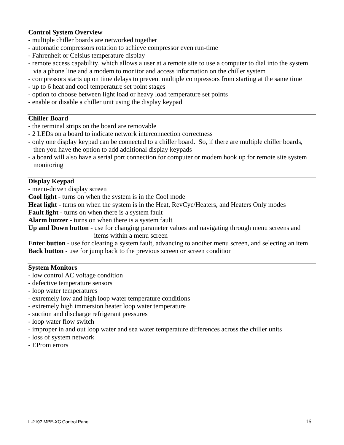## **Control System Overview**

- multiple chiller boards are networked together
- automatic compressors rotation to achieve compressor even run-time
- Fahrenheit or Celsius temperature display
- remote access capability, which allows a user at a remote site to use a computer to dial into the system via a phone line and a modem to monitor and access information on the chiller system
- compressors starts up on time delays to prevent multiple compressors from starting at the same time
- up to 6 heat and cool temperature set point stages
- option to choose between light load or heavy load temperature set points
- enable or disable a chiller unit using the display keypad

## **Chiller Board**

- the terminal strips on the board are removable
- 2 LEDs on a board to indicate network interconnection correctness
- only one display keypad can be connected to a chiller board. So, if there are multiple chiller boards, then you have the option to add additional display keypads
- a board will also have a serial port connection for computer or modem hook up for remote site system monitoring

## **Display Keypad**

- menu-driven display screen

**Cool light** - turns on when the system is in the Cool mode

**Heat light** - turns on when the system is in the Heat, RevCyc/Heaters, and Heaters Only modes

**Fault light** - turns on when there is a system fault

**Alarm buzzer** - turns on when there is a system fault

**Up and Down button** - use for changing parameter values and navigating through menu screens and items within a menu screen

**Enter button** - use for clearing a system fault, advancing to another menu screen, and selecting an item **Back button** - use for jump back to the previous screen or screen condition

## **System Monitors**

- low control AC voltage condition
- defective temperature sensors
- loop water temperatures
- extremely low and high loop water temperature conditions
- extremely high immersion heater loop water temperature
- suction and discharge refrigerant pressures
- loop water flow switch
- improper in and out loop water and sea water temperature differences across the chiller units
- loss of system network
- EProm errors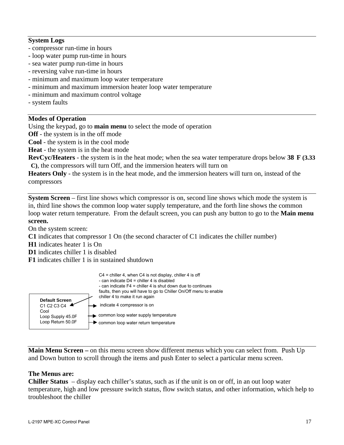## **System Logs**

- compressor run-time in hours
- loop water pump run-time in hours
- sea water pump run-time in hours
- reversing valve run-time in hours
- minimum and maximum loop water temperature
- minimum and maximum immersion heater loop water temperature
- minimum and maximum control voltage
- system faults

## **Modes of Operation**

Using the keypad, go to **main menu** to select the mode of operation

**Off** - the system is in the off mode

**Cool** - the system is in the cool mode

**Heat** - the system is in the heat mode

**RevCyc/Heaters** - the system is in the heat mode; when the sea water temperature drops below **38 F (3.33 C)**, the compressors will turn Off, and the immersion heaters will turn on

**Heaters Only** - the system is in the heat mode, and the immersion heaters will turn on, instead of the compressors

**System Screen** – first line shows which compressor is on, second line shows which mode the system is in, third line shows the common loop water supply temperature, and the forth line shows the common loop water return temperature. From the default screen, you can push any button to go to the **Main menu screen.**

On the system screen:

**C1** indicates that compressor 1 On (the second character of C1 indicates the chiller number)

- **H1** indicates heater 1 is On
- **D1** indicates chiller 1 is disabled

**F1** indicates chiller 1 is in sustained shutdown



**Main Menu Screen –** on this menu screen show different menus which you can select from. Push Up and Down button to scroll through the items and push Enter to select a particular menu screen.

## **The Menus are:**

**Chiller Status** – display each chiller's status, such as if the unit is on or off, in an out loop water temperature, high and low pressure switch status, flow switch status, and other information, which help to troubleshoot the chiller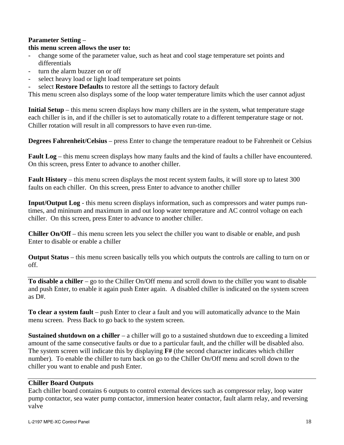## **Parameter Setting** –

## **this menu screen allows the user to:**

- change some of the parameter value, such as heat and cool stage temperature set points and differentials
- turn the alarm buzzer on or off
- select heavy load or light load temperature set points
- select **Restore Defaults** to restore all the settings to factory default

This menu screen also displays some of the loop water temperature limits which the user cannot adjust

**Initial Setup** – this menu screen displays how many chillers are in the system, what temperature stage each chiller is in, and if the chiller is set to automatically rotate to a different temperature stage or not. Chiller rotation will result in all compressors to have even run-time.

**Degrees Fahrenheit/Celsius** – press Enter to change the temperature readout to be Fahrenheit or Celsius

**Fault Log** – this menu screen displays how many faults and the kind of faults a chiller have encountered. On this screen, press Enter to advance to another chiller.

**Fault History** – this menu screen displays the most recent system faults, it will store up to latest 300 faults on each chiller. On this screen, press Enter to advance to another chiller

**Input/Output Log** - this menu screen displays information, such as compressors and water pumps runtimes, and mininum and maximum in and out loop water temperature and AC control voltage on each chiller. On this screen, press Enter to advance to another chiller.

**Chiller On/Off** – this menu screen lets you select the chiller you want to disable or enable, and push Enter to disable or enable a chiller

**Output Status** – this menu screen basically tells you which outputs the controls are calling to turn on or off.

**To disable a chiller** – go to the Chiller On/Off menu and scroll down to the chiller you want to disable and push Enter, to enable it again push Enter again. A disabled chiller is indicated on the system screen as D#.

**To clear a system fault** – push Enter to clear a fault and you will automatically advance to the Main menu screen. Press Back to go back to the system screen.

**Sustained shutdown on a chiller** – a chiller will go to a sustained shutdown due to exceeding a limited amount of the same consecutive faults or due to a particular fault, and the chiller will be disabled also. The system screen will indicate this by displaying **F#** (the second character indicates which chiller number). To enable the chiller to turn back on go to the Chiller On/Off menu and scroll down to the chiller you want to enable and push Enter.

## **Chiller Board Outputs**

Each chiller board contains 6 outputs to control external devices such as compressor relay, loop water pump contactor, sea water pump contactor, immersion heater contactor, fault alarm relay, and reversing valve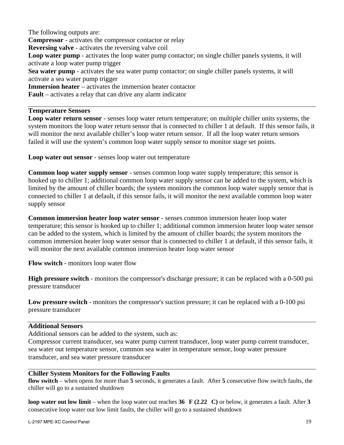The following outputs are: **Compressor** - activates the compressor contactor or relay **Reversing valve** - activates the reversing valve coil **Loop water pump** - activates the loop water pump contactor; on single chiller panels systems, it will activate a loop water pump trigger **Sea water pump** - activates the sea water pump contactor; on single chiller panels systems, it will activate a sea water pump trigger **Immersion heater** – activates the immersion heater contactor **Fault** – activates a relay that can drive any alarm indicator

## **Temperature Sensors**

**Loop water return sensor** - senses loop water return temperature; on multiple chiller units systems, the system monitors the loop water return sensor that is connected to chiller 1 at default. If this sensor fails, it will monitor the next available chiller's loop water return sensor. If all the loop water return sensors failed it will use the system's common loop water supply sensor to monitor stage set points.

**Loop water out sensor** - senses loop water out temperature

**Common loop water supply sensor** - senses common loop water supply temperature; this sensor is hooked up to chiller 1; additional common loop water supply sensor can be added to the system, which is limited by the amount of chiller boards; the system monitors the common loop water supply sensor that is connected to chiller 1 at default, if this sensor fails, it will monitor the next available common loop water supply sensor

**Common immersion heater loop water sensor** - senses common immersion heater loop water temperature; this sensor is hooked up to chiller 1; additional common immersion heater loop water sensor can be added to the system, which is limited by the amount of chiller boards; the system monitors the common immersion heater loop water sensor that is connected to chiller 1 at default, if this sensor fails, it will monitor the next available common immersion heater loop water sensor

**Flow switch** - monitors loop water flow

**High pressure switch** - monitors the compressor's discharge pressure; it can be replaced with a 0-500 psi pressure transducer

**Low pressure switch** - monitors the compressor's suction pressure; it can be replaced with a 0-100 psi pressure transducer

## **Additional Sensors**

Additional sensors can be added to the system, such as:

Compressor current transducer, sea water pump current transducer, loop water pump current transducer, sea water out temperature sensor, common sea water in temperature sensor, loop water pressure transducer, and sea water pressure transducer

## **Chiller System Monitors for the Following Faults**

**flow switch** – when opens for more than **5** seconds, it generates a fault. After **5** consecutive flow switch faults, the chiller will go to a sustained shutdown

**loop water out low limit** – when the loop water out reaches **36 F (2.22 C)** or below, it generates a fault. After **3** consecutive loop water out low limit faults, the chiller will go to a sustained shutdown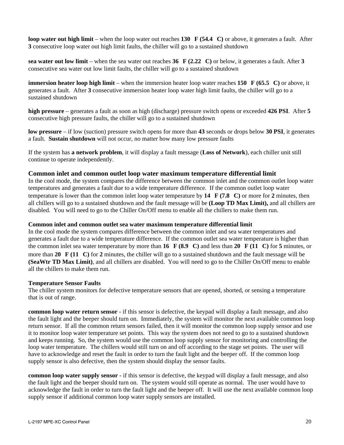**loop water out high limit** – when the loop water out reaches **130 F (54.4 C)** or above, it generates a fault. After **3** consecutive loop water out high limit faults, the chiller will go to a sustained shutdown

**sea water out low limit** – when the sea water out reaches **36 F (2.22 C)** or below, it generates a fault. After **3** consecutive sea water out low limit faults, the chiller will go to a sustained shutdown

**immersion heater loop high limit** – when the immersion heater loop water reaches **150 F (65.5 C)** or above, it generates a fault. After **3** consecutive immersion heater loop water high limit faults, the chiller will go to a sustained shutdown

**high pressure** – generates a fault as soon as high (discharge) pressure switch opens or exceeded **426 PSI**. After **5** consecutive high pressure faults, the chiller will go to a sustained shutdown

**low pressure** – if low (suction) pressure switch opens for more than **43** seconds or drops below **30 PSI**, it generates a fault. **Sustain shutdown** will not occur, no matter how many low pressure faults

If the system has **a network problem**, it will display a fault message (**Loss of Network**), each chiller unit still continue to operate independently.

## **Common inlet and common outlet loop water maximum temperature differential limit**

In the cool mode, the system compares the difference between the common inlet and the common outlet loop water temperatures and generates a fault due to a wide temperature difference. If the common outlet loop water temperature is lower than the common inlet loop water temperature by **14 F (7.8 C)** or more for **2** minutes, then all chillers will go to a sustained shutdown and the fault message will be **(Loop TD Max Limit),** and all chillers are disabled.You will need to go to the Chiller On/Off menu to enable all the chillers to make them run.

#### **Common inlet and common outlet sea water maximum temperature differential limit**

In the cool mode the system compares difference between the common inlet and sea water temperatures and generates a fault due to a wide temperature difference. If the common outlet sea water temperature is higher than the common inlet sea water temperature by more than **16 F (8.9 C)** and less than **20 F (11 C)** for **5** minutes, or more than **20 F (11 C)** for **2** minutes, the chiller will go to a sustained shutdown and the fault message will be **(SeaWtr TD Max Limit)**, and all chillers are disabled.You will need to go to the Chiller On/Off menu to enable all the chillers to make them run.

#### **Temperature Sensor Faults**

The chiller system monitors for defective temperature sensors that are opened, shorted, or sensing a temperature that is out of range.

**common loop water return sensor** - if this sensor is defective, the keypad will display a fault message, and also the fault light and the beeper should turn on. Immediately, the system will monitor the next available common loop return sensor. If all the common return sensors failed, then it will monitor the common loop supply sensor and use it to monitor loop water temperature set points. This way the system does not need to go to a sustained shutdown and keeps running. So, the system would use the common loop supply sensor for monitoring and controlling the loop water temperature. The chillers would still turn on and off according to the stage set points. The user will have to acknowledge and reset the fault in order to turn the fault light and the beeper off. If the common loop supply sensor is also defective, then the system should display the sensor faults.

**common loop water supply sensor** - if this sensor is defective, the keypad will display a fault message, and also the fault light and the beeper should turn on. The system would still operate as normal. The user would have to acknowledge the fault in order to turn the fault light and the beeper off. It will use the next available common loop supply sensor if additional common loop water supply sensors are installed.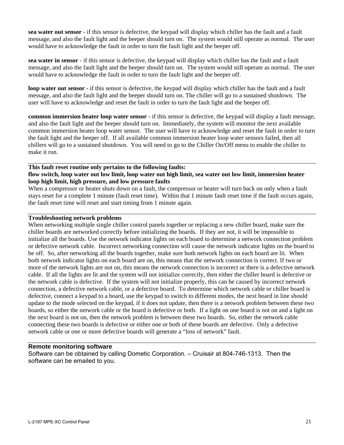**sea water out sensor** - if this sensor is defective, the keypad will display which chiller has the fault and a fault message, and also the fault light and the beeper should turn on. The system would still operate as normal. The user would have to acknowledge the fault in order to turn the fault light and the beeper off.

**sea water in sensor** - if this sensor is defective, the keypad will display which chiller has the fault and a fault message, and also the fault light and the beeper should turn on. The system would still operate as normal. The user would have to acknowledge the fault in order to turn the fault light and the beeper off.

**loop water out sensor** - if this sensor is defective, the keypad will display which chiller has the fault and a fault message, and also the fault light and the beeper should turn on. The chiller will go to a sustained shutdown. The user will have to acknowledge and reset the fault in order to turn the fault light and the beeper off.

**common immersion heater loop water sensor** - if this sensor is defective, the keypad will display a fault message, and also the fault light and the beeper should turn on. Immediately, the system will monitor the next available common immersion heater loop water sensor. The user will have to acknowledge and reset the fault in order to turn the fault light and the beeper off. If all available common immersion heater loop water sensors failed, then all chillers will go to a sustained shutdown. You will need to go to the Chiller On/Off menu to enable the chiller to make it run.

#### **This fault reset routine only pertains to the following faults: flow switch, loop water out low limit, loop water out high limit, sea water out low limit, immersion heater loop high limit, high pressure, and low pressure faults**

When a compressor or heater shuts down on a fault, the compressor or heater will turn back on only when a fault stays reset for a complete 1 minute (fault reset time). Within that 1 minute fault reset time if the fault occurs again, the fault reset time will reset and start timing from 1 minute again.

## **Troubleshooting network problems**

When networking multiple single chiller control panels together or replacing a new chiller board, make sure the chiller boards are networked correctly before initializing the boards. If they are not, it will be impossible to initialize all the boards. Use the network indicator lights on each board to determine a network connection problem or defective network cable. Incorrect networking connection will cause the network indicator lights on the board to be off. So, after networking all the boards together, make sure both network lights on each board are lit. When both network indicator lights on each board are on, this means that the network connection is correct. If two or more of the network lights are not on, this means the network connection is incorrect or there is a defective network cable. If all the lights are lit and the system will not initialize correctly, then either the chiller board is defective or the network cable is defective. If the system will not initialize properly, this can be caused by incorrect network connection, a defective network cable, or a defective board. To determine which network cable or chiller board is defective, connect a keypad to a board, use the keypad to switch to different modes, the next board in line should update to the mode selected on the keypad, if it does not update, then there is a network problem between these two boards, so either the network cable or the board is defective or both. If a light on one board is not on and a light on the next board is not on, then the network problem is between these two boards. So, either the network cable connecting these two boards is defective or either one or both of these boards are defective. Only a defective network cable or one or more defective boards will generate a "loss of network" fault.

## **Remote monitoring software**

Software can be obtained by calling Dometic Corporation. – Cruisair at 804-746-1313. Then the software can be emailed to you.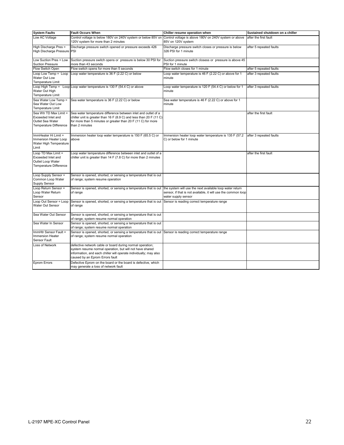| <b>System Faults</b>                                                                       | <b>Fault Occurs When</b>                                                                                                                                                                                                      | Chiller resume operation when                                                        | Sustained shutdown on a chiller |
|--------------------------------------------------------------------------------------------|-------------------------------------------------------------------------------------------------------------------------------------------------------------------------------------------------------------------------------|--------------------------------------------------------------------------------------|---------------------------------|
| Low AC Voltage                                                                             | Control voltage is below 180V on 240V system or below 85V on<br>120V system for more than 2 minutes                                                                                                                           | Control voltage is above 180V on 240V system or above<br>85V on 120V system          | after the first fault           |
| High Discharge Pres =<br>High Discharge Pressure PSI                                       | Discharge pressure switch opened or pressure exceeds 426                                                                                                                                                                      | Discharge pressure switch closes or pressure is below<br>326 PSI for 1 minute        | after 5 repeated faults         |
| Low Suction Pres = Low<br><b>Suction Pressure</b>                                          | Suction pressure switch opens or pressure is below 30 PSI for<br>more than 43 seconds                                                                                                                                         | Suction pressure switch closess or pressure is above 45<br>PSI for 1 minute          |                                 |
| Flow Switch Open                                                                           | Flow switch opens for more than 5 seconds                                                                                                                                                                                     | Flow switch closes for 1 minute                                                      | after 5 repeated faults         |
| Loop Low Temp = Loop<br>Water Out Low<br>Temperature Limit                                 | Loop water temperature is 36 F (2.22 C) or below                                                                                                                                                                              | Loop water temperature is 46 F (2.22 C) or above for 1<br>minute                     | after 3 repeated faults         |
| Water Out High<br>Temperature Limit                                                        | Loop High Temp = Loop Loop water temperature is 130 F (54.4 C) or above                                                                                                                                                       | Loop water temperature is 120 F (54.4 C) or below for 1<br>minute                    | after 3 repeated faults         |
| Sea Water Low Temp =<br>Sea Water Out Low<br>Temperature Limit                             | Sea water temperature is 36 F (2.22 C) or below                                                                                                                                                                               | Sea water temperature is 46 F (2.22 C) or above for 1<br>minute                      |                                 |
| Sea Wtr TD Max Limit =<br>Exceeded Inlet and<br>Outlet Sea Water<br>Temperature Difference | Sea water temperature difference between inlet and outlet of a<br>chiller unit is greater than 16 F (8.9 C) and less than 20 F (11 C)<br>for more than 5 minutes or greater than 20 F (11 C) for more<br>than 2 minutes       |                                                                                      | after the first fault           |
| ImmHeater Hi Limit =<br>Immersion Heater Loop<br>Water High Temperature<br>Limit           | Immersion heater loop water temperature is 150 F (65.5 C) or<br>above                                                                                                                                                         | Immersion heater loop water temperature is 135 F (57.2<br>C) or below for 1 minute   | after 3 repeated faults         |
| Loop TD Max Limit =<br>Exceeded Inlet and<br>Outlet Loop Water<br>Temperature Difference   | Loop water temperature difference between inlet and outlet of a<br>chiller unit is greater than $14 F (7.8 C)$ for more than 2 minutes                                                                                        |                                                                                      | after the first fault           |
| Loop Supply Sensor =<br>Common Loop Water<br>Supply Sensor                                 | Sensor is opened, shorted, or sensing a temperature that is out<br>of range; system resume operation                                                                                                                          |                                                                                      |                                 |
| Loop Return Sensor =<br>Loop Water Return<br>Sensor                                        | Sensor is opened, shorted, or sensing a temperature that is out the system will use the next available loop water return<br>of range                                                                                          | sensor, if that is not available, it will use the common loop<br>water supply sensor |                                 |
| Loop Out Sensor = Loop<br>Water Out Sensor                                                 | Sensor is opened, shorted, or sensing a temperature that is out<br>of range                                                                                                                                                   | Sensor is reading correct temperature range                                          |                                 |
| Sea Water Out Sensor                                                                       | Sensor is opened, shorted, or sensing a temperature that is out<br>of range; system resume normal operation                                                                                                                   |                                                                                      |                                 |
| Sea Water In Sensor                                                                        | Sensor is opened, shorted, or sensing a temperature that is out<br>of range; system resume normal operation                                                                                                                   |                                                                                      |                                 |
| ImmHtr Sensor Fault =<br>Immersion Heater<br>Sensor Fault                                  | Sensor is opened, shorted, or sensing a temperature that is out Sensor is reading correct temperature range<br>of range; system resume normal operation                                                                       |                                                                                      |                                 |
| Loss of Network                                                                            | defective network cable or board during normal operation;<br>system resume normal operation, but will not have shared<br>information, and each chiller will operate individually; may also<br>caused by an Eprom Errors fault |                                                                                      |                                 |
| Eprom Errors                                                                               | Defective Eprom on the board or the board is defective, which<br>may generate a loss of network fault                                                                                                                         |                                                                                      |                                 |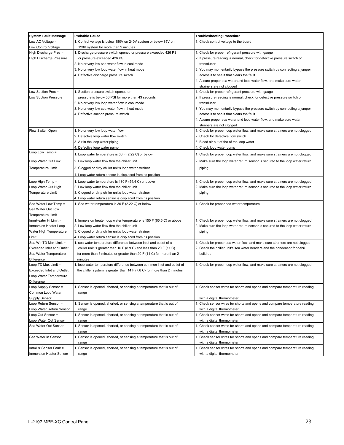| <b>System Fault Message</b>      | <b>Probable Cause</b>                                                     | <b>Troubleshooting Procedure</b>                                              |
|----------------------------------|---------------------------------------------------------------------------|-------------------------------------------------------------------------------|
| Low AC Voltage =                 | 1. Control voltage is below 180V on 240V system or below 85V on           | 1. Check control voltage to the board                                         |
| Low Control Voltage              | 120V system for more than 2 minutes                                       |                                                                               |
| High Discharge Pres =            | 1. Discharge pressure switch opened or pressure exceeded 426 PSI          | 1. Check for proper refrigerant pressure with gauge                           |
| High Discharge Pressure          | or pressure exceeded 426 PSI                                              | 2. If pressure reading is normal, check for defective pressure switch or      |
|                                  | 2. No or very low sea water flow in cool mode                             | transducer                                                                    |
|                                  | 3. No or very low loop water flow in heat mode                            | 3. You may momentarily bypass the pressure switch by connecting a jumper      |
|                                  | 4. Defective discharge pressure switch                                    | across it to see if that clears the fault                                     |
|                                  |                                                                           | 4. Assure proper sea water and loop water flow, and make sure water           |
|                                  |                                                                           | strainers are not clogged                                                     |
| Low Suction Pres $=$             | 1. Suction pressure switch opened or                                      | 1. Check for proper refrigerant pressure with gauge                           |
| Low Suction Pressure             | pressure is below 30 PSI for more than 43 seconds                         | 2. If pressure reading is normal, check for defective pressure switch or      |
|                                  | 2. No or very low loop water flow in cool mode                            | transducer                                                                    |
|                                  | 3. No or very low sea water flow in heat mode                             | 3. You may momentarily bypass the pressure switch by connecting a jumper      |
|                                  | 4. Defective suction pressure switch                                      | across it to see if that clears the fault                                     |
|                                  |                                                                           | 4. Assure proper sea water and loop water flow, and make sure water           |
|                                  |                                                                           | strainers are not clogged                                                     |
| Flow Switch Open                 | 1. No or very low loop water flow                                         | 1. Check for proper loop water flow, and make sure strainers are not clogged  |
|                                  | 2. Defective loop water flow switch                                       | 2. Check for defective flow switch                                            |
|                                  | 3. Air in the loop water piping                                           | 3. Bleed air out of the of the loop water                                     |
|                                  | 4. Defective loop water pump                                              | 4. Check loop water pump                                                      |
| Loop Low Temp =                  | 1. Loop water temperature is 36 F (2.22 C) or below                       | 1. Check for proper loop water flow, and make sure strainers are not clogged  |
|                                  |                                                                           |                                                                               |
| Loop Water Out Low               | 2. Low loop water flow thru the chiller unit                              | 2. Make sure the loop water return sensor is secured to the loop water return |
| Temperature Limit                | 3. Clogged or dirty chiller unit's loop water strainer                    | piping                                                                        |
|                                  | 4. Loop water return sensor is displaced from its position                |                                                                               |
| Loop High Temp =                 | 1. Loop water temperature is 130 F (54.4 C) or above                      | 1. Check for proper loop water flow, and make sure strainers are not clogged  |
| Loop Water Out High              | 2. Low loop water flow thru the chiller unit                              | 2. Make sure the loop water return sensor is secured to the loop water return |
| Temperature Limit                | 3. Clogged or dirty chiller unit's loop water strainer                    | piping                                                                        |
|                                  | 4. Loop water return sensor is displaced from its position                |                                                                               |
| Sea Water Low Temp =             | 1. Sea water temperature is 36 F (2.22 C) or below                        | 1. Check for proper sea water temperature                                     |
| Sea Water Out Low                |                                                                           |                                                                               |
| <b>Temperature Limit</b>         |                                                                           |                                                                               |
| ImmHeater Hi Limit =             | 1. Immersion heater loop water temperature is 150 F (65.5 C) or above     | 1. Check for proper loop water flow, and make sure strainers are not clogged  |
| Immersion Heater Loop            | 2. Low loop water flow thru the chiller unit                              | 2. Make sure the loop water return sensor is secured to the loop water return |
| Water High Temperature           | 3. Clogged or dirty chiller unit's loop water strainer                    | piping                                                                        |
| Limit                            | 4. Loop water return sensor is displaced from its position                |                                                                               |
| Sea Wtr TD Max Limit =           | 1. sea water temperature difference between inlet and outlet of a         | 1. Check for proper sea water flow, and make sure strainers are not clogged   |
| Exceeded Inlet and Outlet        | chiller unit is greater than 16 F (8.9 C) and less than 20 F (11 C)       | 2. Check the chiller unit's sea water headers and the condensor for debri     |
| Sea Water Temperature            | for more than 5 minutes or greater than 20 F (11 C) for more than 2       | build up                                                                      |
| Difference                       | minutes                                                                   |                                                                               |
| Loop TD Max Limit =              | 1. loop water temperature difference between common inlet and outlet of   | 1. Check for proper loop water flow, and make sure strainers are not clogged  |
| <b>Exceeded Inlet and Outlet</b> | the chiller system is greater than $14 F (7.8 C)$ for more than 2 minutes |                                                                               |
| Loop Water Temperature           |                                                                           |                                                                               |
| Difference                       |                                                                           |                                                                               |
| Loop Supply Sensor =             | 1. Sensor is opened, shorted, or sensing a temperature that is out of     | 1. Check sensor wires for shorts and opens and compare temperature reading    |
| Common Loop Water                | range                                                                     |                                                                               |
| Supply Sensor                    |                                                                           | with a digital thermometer                                                    |
| Loop Return Sensor =             | 1. Sensor is opened, shorted, or sensing a temperature that is out of     | 1. Check sensor wires for shorts and opens and compare temperature reading    |
| Loop Water Return Sensor         | range                                                                     | with a digital thermometer                                                    |
| Loop Out Sensor =                | 1. Sensor is opened, shorted, or sensing a temperature that is out of     | 1. Check sensor wires for shorts and opens and compare temperature reading    |
| Loop Water Out Sensor            | range                                                                     | with a digital thermometer                                                    |
| Sea Water Out Sensor             | 1. Sensor is opened, shorted, or sensing a temperature that is out of     | 1. Check sensor wires for shorts and opens and compare temperature reading    |
|                                  | range                                                                     | with a digital thermometer                                                    |
| Sea Water In Sensor              | 1. Sensor is opened, shorted, or sensing a temperature that is out of     | 1. Check sensor wires for shorts and opens and compare temperature reading    |
|                                  | range                                                                     | with a digital thermometer                                                    |
| ImmHtr Sensor Fault =            | 1. Sensor is opened, shorted, or sensing a temperature that is out of     | 1. Check sensor wires for shorts and opens and compare temperature reading    |
| Immersion Heater Sensor          | range                                                                     | with a digital thermometer                                                    |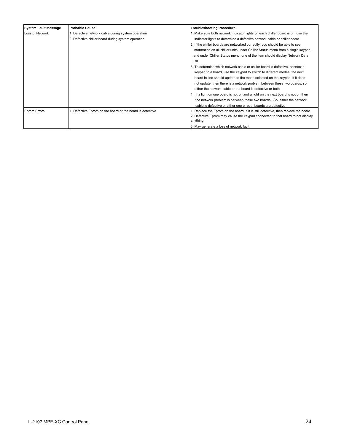| <b>System Fault Message</b> | <b>Probable Cause</b>                                  | <b>Troubleshooting Procedure</b>                                                           |  |
|-----------------------------|--------------------------------------------------------|--------------------------------------------------------------------------------------------|--|
| Loss of Network             | . Defective network cable during system operation      | 1. Make sure both network indicator lights on each chiller board is on; use the            |  |
|                             | 2. Defective chiller board during system operation     | indicator lights to determine a defective network cable or chiller board                   |  |
|                             |                                                        | 2. If the chiller boards are networked correctly, you should be able to see                |  |
|                             |                                                        | information on all chiller units under Chiller Status menu from a single keypad,           |  |
|                             |                                                        | and under Chiller Status menu, one of the item should display Network Data                 |  |
|                             |                                                        | OK                                                                                         |  |
|                             |                                                        | 3. To determine which network cable or chiller board is defective, connect a               |  |
|                             |                                                        | keypad to a board, use the keypad to switch to different modes, the next                   |  |
|                             |                                                        | board in line should update to the mode selected on the keypad; if it does                 |  |
|                             |                                                        | not update, then there is a network problem between these two boards, so                   |  |
|                             |                                                        | either the network cable or the board is defective or both                                 |  |
|                             |                                                        | 4. If a light on one board is not on and a light on the next board is not on then          |  |
|                             |                                                        | the network problem is between these two boards. So, either the network                    |  |
|                             |                                                        | cable is defective or either one or both boards are defective                              |  |
| <b>Eprom Errors</b>         | Defective Eprom on the board or the board is defective | . Replace the Eprom on the board, if it is still defective, then replace the board         |  |
|                             |                                                        | 2. Defective Eprom may cause the keypad connected to that board to not display<br>anything |  |
|                             |                                                        | 3. May generate a loss of network fault                                                    |  |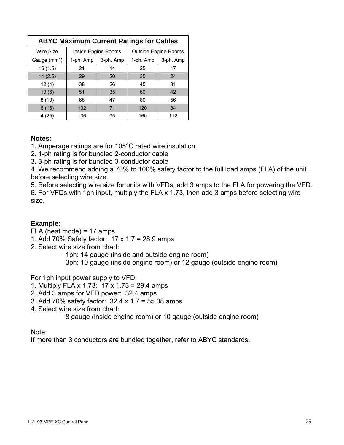| <b>ABYC Maximum Current Ratings for Cables</b> |                     |           |                             |           |
|------------------------------------------------|---------------------|-----------|-----------------------------|-----------|
| Wire Size                                      | Inside Engine Rooms |           | <b>Outside Engine Rooms</b> |           |
| Gauge $(mm^2)$                                 | 1-ph. Amp           | 3-ph. Amp | 1-ph. Amp                   | 3-ph. Amp |
| 16(1.5)                                        | 21                  | 14        | 25                          | 17        |
| 14(2.5)                                        | 29                  | 20        | 35                          | 24        |
| 12(4)                                          | 38                  | 26        | 45                          | 31        |
| 10(6)                                          | 51                  | 35        | 60                          | 42        |
| 8(10)                                          | 68                  | 47        | 80                          | 56        |
| 6(16)                                          | 102                 | 71        | 120                         | 84        |
| 4(25)                                          | 136                 | 95        | 160                         | 112       |

# **Notes:**

1. Amperage ratings are for 105°C rated wire insulation

2. 1-ph rating is for bundled 2-conductor cable

3. 3-ph rating is for bundled 3-conductor cable

4. We recommend adding a 70% to 100% safety factor to the full load amps (FLA) of the unit before selecting wire size.

5. Before selecting wire size for units with VFDs, add 3 amps to the FLA for powering the VFD. 6. For VFDs with 1ph input, multiply the FLA x 1.73, then add 3 amps before selecting wire size.

# **Example:**

FLA (heat mode) = 17 amps

1. Add 70% Safety factor: 17 x 1.7 = 28.9 amps

2. Select wire size from chart:

1ph: 14 gauge (inside and outside engine room)

3ph: 10 gauge (inside engine room) or 12 gauge (outside engine room)

For 1ph input power supply to VFD:

- 1. Multiply FLA x 1.73: 17 x 1.73 = 29.4 amps
- 2. Add 3 amps for VFD power: 32.4 amps
- 3. Add 70% safety factor: 32.4 x 1.7 = 55.08 amps
- 4. Select wire size from chart:

8 gauge (inside engine room) or 10 gauge (outside engine room)

Note:

If more than 3 conductors are bundled together, refer to ABYC standards.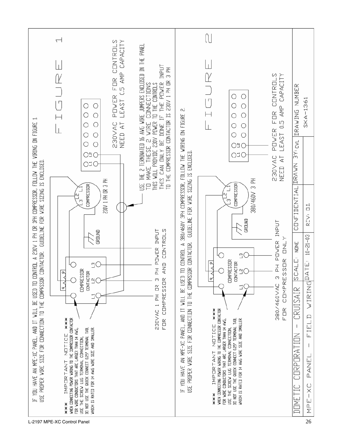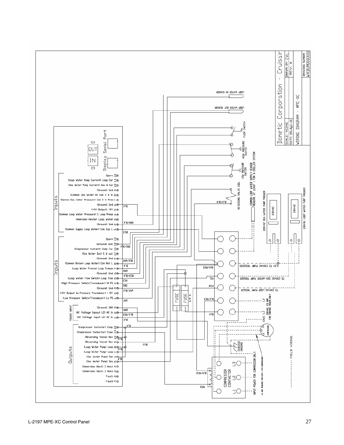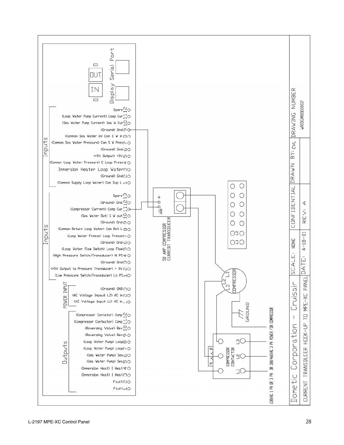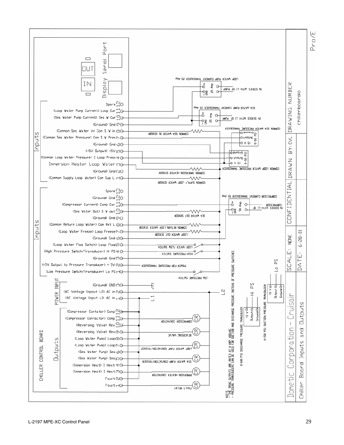